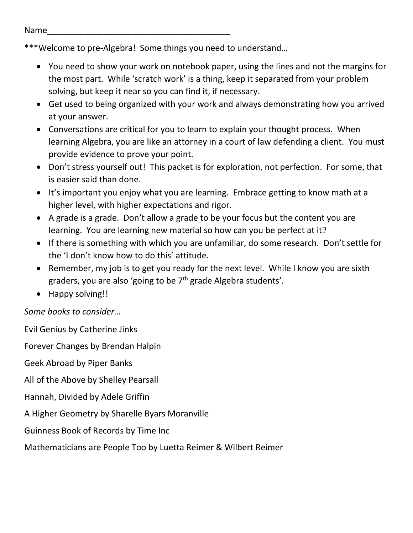\*\*\*Welcome to pre-Algebra! Some things you need to understand…

- You need to show your work on notebook paper, using the lines and not the margins for the most part. While 'scratch work' is a thing, keep it separated from your problem solving, but keep it near so you can find it, if necessary.
- Get used to being organized with your work and always demonstrating how you arrived at your answer.
- Conversations are critical for you to learn to explain your thought process. When learning Algebra, you are like an attorney in a court of law defending a client. You must provide evidence to prove your point.
- Don't stress yourself out! This packet is for exploration, not perfection. For some, that is easier said than done.
- It's important you enjoy what you are learning. Embrace getting to know math at a higher level, with higher expectations and rigor.
- A grade is a grade. Don't allow a grade to be your focus but the content you are learning. You are learning new material so how can you be perfect at it?
- If there is something with which you are unfamiliar, do some research. Don't settle for the 'I don't know how to do this' attitude.
- Remember, my job is to get you ready for the next level. While I know you are sixth graders, you are also 'going to be  $7<sup>th</sup>$  grade Algebra students'.
- Happy solving!!

*Some books to consider…*

Evil Genius by Catherine Jinks Forever Changes by Brendan Halpin Geek Abroad by Piper Banks All of the Above by Shelley Pearsall Hannah, Divided by Adele Griffin A Higher Geometry by Sharelle Byars Moranville Guinness Book of Records by Time Inc Mathematicians are People Too by Luetta Reimer & Wilbert Reimer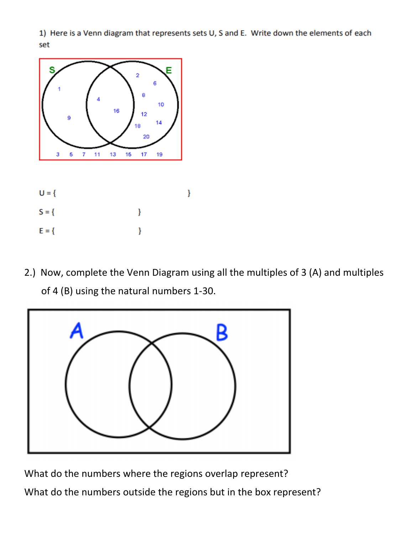1) Here is a Venn diagram that represents sets U, S and E. Write down the elements of each set



2.) Now, complete the Venn Diagram using all the multiples of 3 (A) and multiples of 4 (B) using the natural numbers 1-30.



What do the numbers where the regions overlap represent? What do the numbers outside the regions but in the box represent?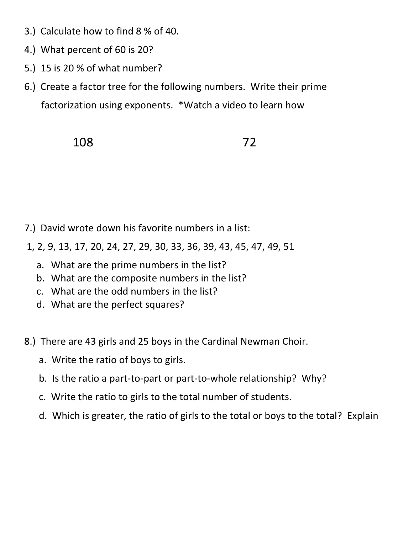- 3.) Calculate how to find 8 % of 40.
- 4.) What percent of 60 is 20?
- 5.) 15 is 20 % of what number?
- 6.) Create a factor tree for the following numbers. Write their prime factorization using exponents. \*Watch a video to learn how

108 72

- 7.) David wrote down his favorite numbers in a list:
- 1, 2, 9, 13, 17, 20, 24, 27, 29, 30, 33, 36, 39, 43, 45, 47, 49, 51
	- a. What are the prime numbers in the list?
	- b. What are the composite numbers in the list?
	- c. What are the odd numbers in the list?
	- d. What are the perfect squares?
- 8.) There are 43 girls and 25 boys in the Cardinal Newman Choir.
	- a. Write the ratio of boys to girls.
	- b. Is the ratio a part-to-part or part-to-whole relationship? Why?
	- c. Write the ratio to girls to the total number of students.
	- d. Which is greater, the ratio of girls to the total or boys to the total? Explain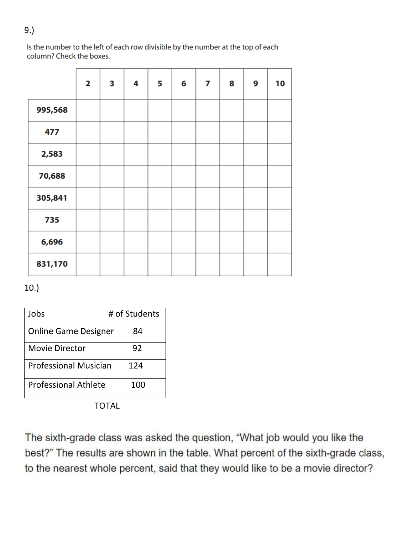Is the number to the left of each row divisible by the number at the top of each column? Check the boxes.

|         | 2 | 3 | 4 | 5 | 6 | 7 | 8 | 9 | 10 |
|---------|---|---|---|---|---|---|---|---|----|
| 995,568 |   |   |   |   |   |   |   |   |    |
| 477     |   |   |   |   |   |   |   |   |    |
| 2,583   |   |   |   |   |   |   |   |   |    |
| 70,688  |   |   |   |   |   |   |   |   |    |
| 305,841 |   |   |   |   |   |   |   |   |    |
| 735     |   |   |   |   |   |   |   |   |    |
| 6,696   |   |   |   |   |   |   |   |   |    |
| 831,170 |   |   |   |   |   |   |   |   |    |

10.)

| Jobs                         | # of Students |
|------------------------------|---------------|
| <b>Online Game Designer</b>  | 84            |
| <b>Movie Director</b>        | 92            |
| <b>Professional Musician</b> | 124           |
| <b>Professional Athlete</b>  | 100           |

TOTAL

The sixth-grade class was asked the question, "What job would you like the best?" The results are shown in the table. What percent of the sixth-grade class, to the nearest whole percent, said that they would like to be a movie director?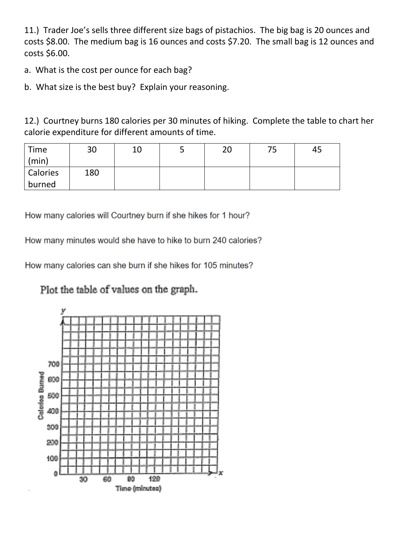11.) Trader Joe's sells three different size bags of pistachios. The big bag is 20 ounces and costs \$8.00. The medium bag is 16 ounces and costs \$7.20. The small bag is 12 ounces and costs \$6.00.

a. What is the cost per ounce for each bag?

b. What size is the best buy? Explain your reasoning.

12.) Courtney burns 180 calories per 30 minutes of hiking. Complete the table to chart her calorie expenditure for different amounts of time.

| Time<br>(min)   | 30  | 10 | ت | 20 | フロ<br>ر . | 45 |
|-----------------|-----|----|---|----|-----------|----|
| <b>Calories</b> | 180 |    |   |    |           |    |
| burned          |     |    |   |    |           |    |

How many calories will Courtney burn if she hikes for 1 hour?

How many minutes would she have to hike to burn 240 calories?

How many calories can she burn if she hikes for 105 minutes?

Plot the table of values on the graph.

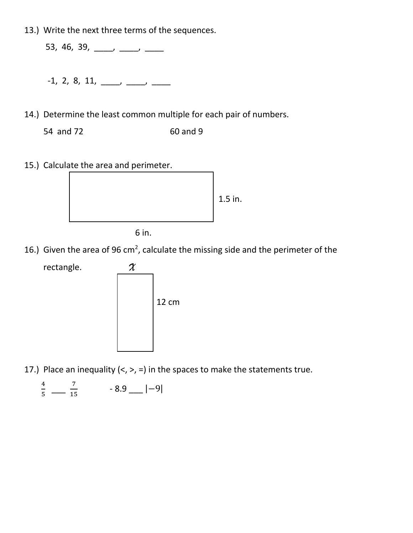13.) Write the next three terms of the sequences.

53, 46, 39, \_\_\_\_, \_\_\_, \_\_\_, \_\_\_

- $-1, 2, 8, 11, \underline{\hspace{1cm}} \underline{\hspace{1cm}}$
- 14.) Determine the least common multiple for each pair of numbers.
	- 54 and 72 60 and 9
- 15.) Calculate the area and perimeter.



6 in.

16.) Given the area of 96 cm<sup>2</sup>, calculate the missing side and the perimeter of the

rectangle. *X*



17.) Place an inequality  $\langle \langle , \rangle = \rangle$  in the spaces to make the statements true.

4  $\frac{4}{5}$   $\frac{7}{15}$  $\frac{7}{15}$  - 8.9 \_\_ |−9|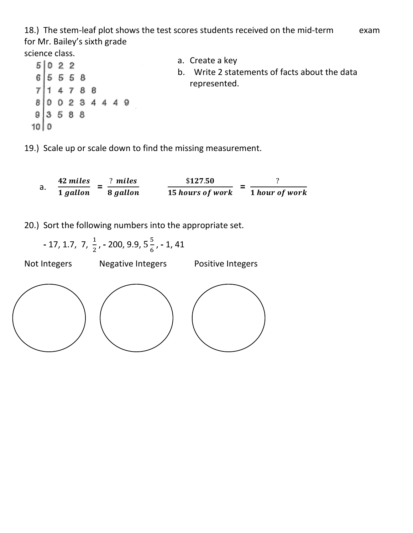18.) The stem-leaf plot shows the test scores students received on the mid-term exam for Mr. Bailey's sixth grade science class.

a. Create a key  $5|022$ b. Write 2 statements of facts about the data  $6|55558$ represented. $714788$ 0 0 2 3 4 4 4 9 8  $93588$  $1010$ 

19.) Scale up or scale down to find the missing measurement.

a.  $\frac{42 \text{ miles}}{1 \text{ gallon}} = \frac{? \text{ miles}}{8 \text{ gallon}}$   $\frac{$127.50}{15 \text{ hours of work}} = \frac{?}{1 \text{ hour of}}$ **1** hour of work

20.) Sort the following numbers into the appropriate set.

**-** 17, 1.7, 7,  $\frac{1}{2}$ , **-** 200, 9.9, 5 $\frac{5}{6}$  $\frac{3}{6}$ , - 1, 41

Not Integers Megative Integers Positive Integers

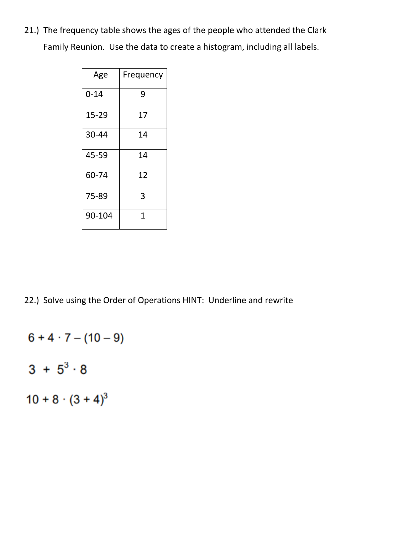21.) The frequency table shows the ages of the people who attended the Clark Family Reunion. Use the data to create a histogram, including all labels.

| Age      | Frequency |
|----------|-----------|
| $0 - 14$ | 9         |
| 15-29    | 17        |
| 30-44    | 14        |
| 45-59    | 14        |
| 60-74    | 12        |
| 75-89    | 3         |
| 90-104   | 1         |

22.) Solve using the Order of Operations HINT: Underline and rewrite

 $6 + 4 \cdot 7 - (10 - 9)$ 

- $3 + 5^3 \cdot 8$
- $10 + 8 \cdot (3 + 4)^3$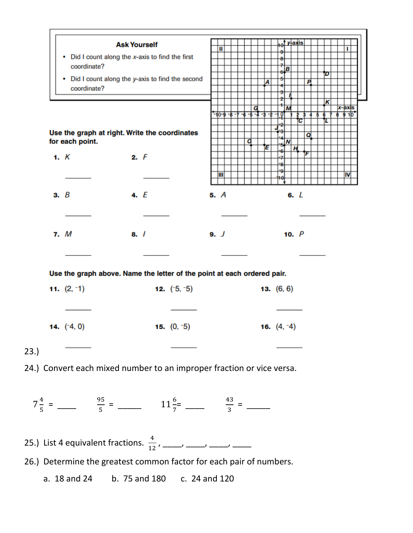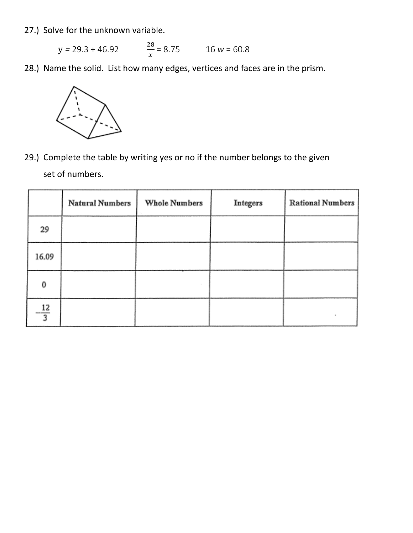- 27.) Solve for the unknown variable.
	- y *=* 29.3 + 46.92 28  $\frac{28}{x}$  = 8.75 16 *w* = 60.8
- 28.) Name the solid. List how many edges, vertices and faces are in the prism.



29.) Complete the table by writing yes or no if the number belongs to the given set of numbers.

|                 | <b>Natural Numbers</b> | <b>Whole Numbers</b> | Integers | <b>Rational Numbers</b> |
|-----------------|------------------------|----------------------|----------|-------------------------|
| 29              |                        |                      |          |                         |
| 16.09           |                        |                      |          |                         |
| 0               |                        |                      |          |                         |
| $-\frac{12}{3}$ |                        |                      |          |                         |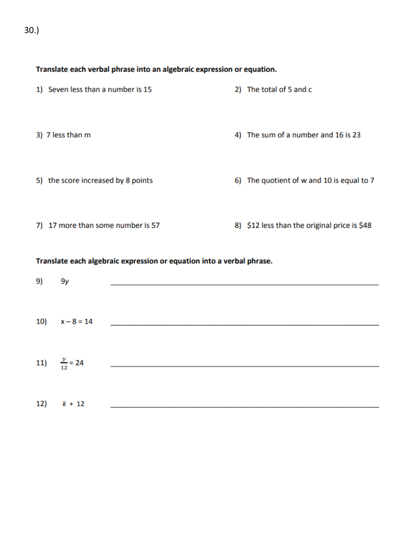30.)

# Translate each verbal phrase into an algebraic expression or equation.

| 1) Seven less than a number is 15  | 2) The total of 5 and c                      |
|------------------------------------|----------------------------------------------|
| 3) 7 less than m                   | 4) The sum of a number and 16 is 23          |
| 5) the score increased by 8 points | 6) The quotient of w and 10 is equal to 7    |
| 7) 17 more than some number is 57  | 8) \$12 less than the original price is \$48 |

#### Translate each algebraic expression or equation into a verbal phrase.

| 9)  | 9y                      |                                              |
|-----|-------------------------|----------------------------------------------|
|     |                         |                                              |
|     | 10) $x-8=14$            |                                              |
|     |                         |                                              |
|     | 11) $\frac{y}{12} = 24$ | the control of the control of the control of |
|     |                         |                                              |
| 12) | $k + 12$                |                                              |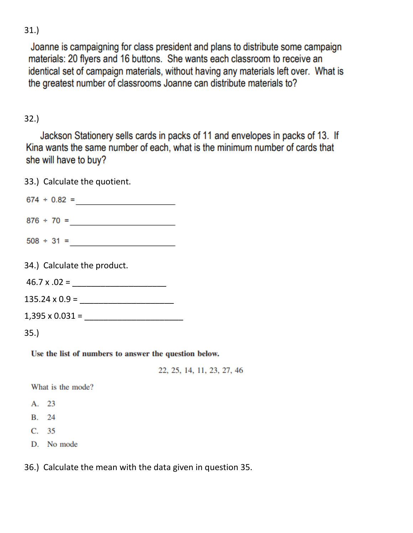Joanne is campaigning for class president and plans to distribute some campaign materials: 20 flyers and 16 buttons. She wants each classroom to receive an identical set of campaign materials, without having any materials left over. What is the greatest number of classrooms Joanne can distribute materials to?

# 32.)

Jackson Stationery sells cards in packs of 11 and envelopes in packs of 13. If Kina wants the same number of each, what is the minimum number of cards that she will have to buy?

33.) Calculate the quotient.  $674 \div 0.82 =$  $876 \div 70 =$ 34.) Calculate the product.  $46.7 \times .02 = \_$ 135.24 x 0.9 = \_\_\_\_\_\_\_\_\_\_\_\_\_\_\_\_\_\_\_\_  $1,395 \times 0.031 =$ 35.) Use the list of numbers to answer the question below.

22, 25, 14, 11, 23, 27, 46

What is the mode?

- A. 23
- **B.** 24
- $C.$  35
- D. No mode

36.) Calculate the mean with the data given in question 35.

31.)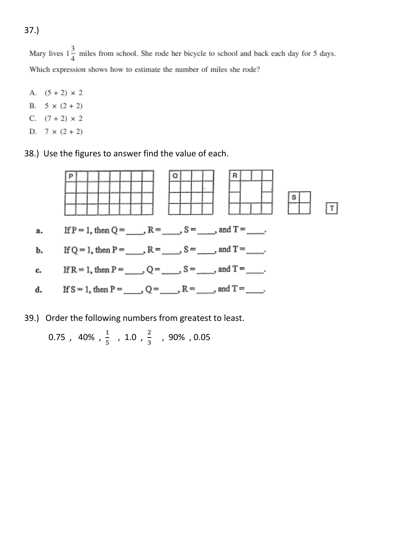37.)

Mary lives  $1\frac{3}{4}$  miles from school. She rode her bicycle to school and back each day for 5 days. Which expression shows how to estimate the number of miles she rode?

- A.  $(5 + 2) \times 2$
- B.  $5 \times (2 + 2)$
- C.  $(7 + 2) \times 2$
- D.  $7 \times (2 + 2)$
- 38.) Use the figures to answer find the value of each.



39.) Order the following numbers from greatest to least.

$$
0.75\ ,\ 40\%\ ,\ \frac{1}{5}\ ,\ 1.0\ ,\ \frac{2}{3}\quad,\ 90\%\ ,\ 0.05
$$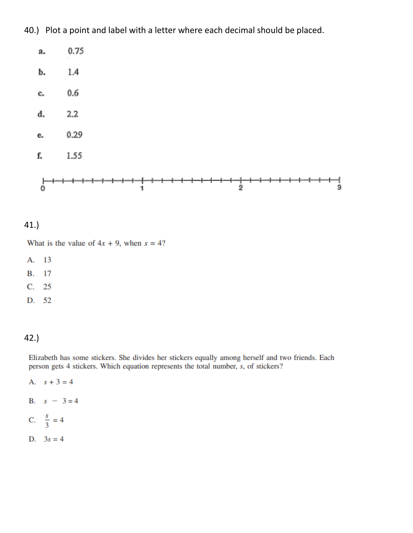40.) Plot a point and label with a letter where each decimal should be placed.



#### $41.$

What is the value of  $4x + 9$ , when  $x = 4$ ?

13 А.

B. 17

 $C. 25$ 

D. 52

# $42.$

Elizabeth has some stickers. She divides her stickers equally among herself and two friends. Each person gets 4 stickers. Which equation represents the total number, s, of stickers?

- A.  $s + 3 = 4$
- B.  $s 3 = 4$
- C.  $\frac{s}{3} = 4$
- D.  $3s = 4$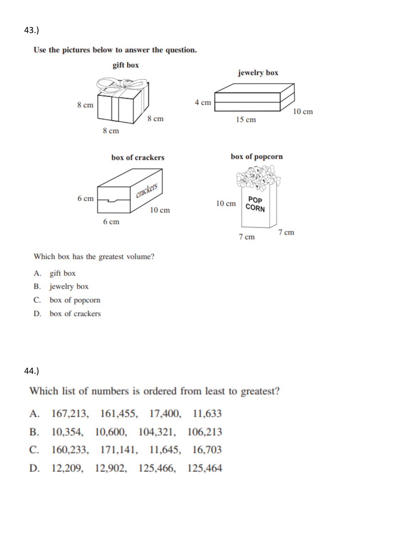Use the pictures below to answer the question.



Which box has the greatest volume?

- gift box А.
- jewelry box **B.**
- C. box of popcorn
- box of crackers D.

# $44.$

Which list of numbers is ordered from least to greatest?

|  | A. 167,213, 161,455, 17,400, 11,633     |  |
|--|-----------------------------------------|--|
|  | B. 10,354, 10,600, 104,321, 106,213     |  |
|  | C. 160, 233, 171, 141, 11, 645, 16, 703 |  |
|  | D. 12,209, 12,902, 125,466, 125,464     |  |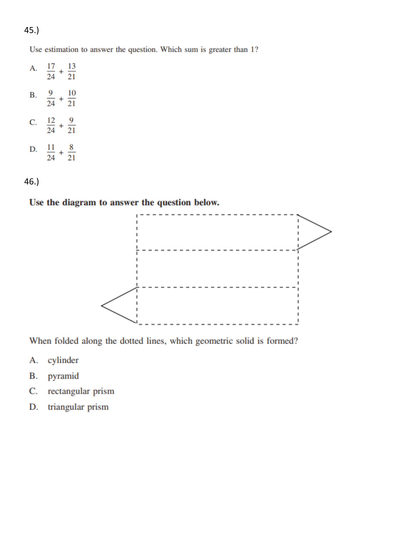$45.$ 

Use estimation to answer the question. Which sum is greater than 1?

- A.  $\frac{17}{24} + \frac{13}{21}$ B.  $\frac{9}{24} + \frac{10}{21}$ C.  $\frac{12}{24} + \frac{9}{21}$
- D.  $\frac{11}{24} + \frac{8}{21}$

 $46.$ 

# Use the diagram to answer the question below.



When folded along the dotted lines, which geometric solid is formed?

- cylinder A.
- pyramid В.
- rectangular prism C.
- triangular prism D.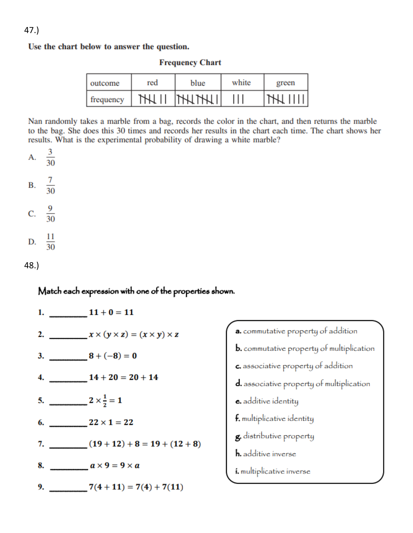Use the chart below to answer the question.

|  | <b>Frequency Chart</b> |
|--|------------------------|
|  |                        |

| outcome   | red | blue          | white | green |
|-----------|-----|---------------|-------|-------|
| frequency |     | <b>THITHI</b> |       |       |

Nan randomly takes a marble from a bag, records the color in the chart, and then returns the marble to the bag. She does this 30 times and records her results in the chart each time. The chart shows her results. What is the experimental probability of drawing a white marble?

$$
A. \quad \frac{3}{30}
$$

$$
B. \quad \frac{7}{30}
$$

$$
C. \quad \frac{9}{30}
$$

D. 
$$
\frac{11}{30}
$$

 $48.$ 

Match each expression with one of the properties shown.

|                               | 2. $x \times (y \times z) = (x \times y) \times z$ |
|-------------------------------|----------------------------------------------------|
|                               |                                                    |
|                               |                                                    |
| 5. $2 \times \frac{1}{2} = 1$ |                                                    |
|                               | 6. 22 $\times$ 1 = 22                              |
|                               | 7. $(19+12)+8=19+(12+8)$                           |
|                               | 8. $a \times 9 = 9 \times a$                       |
|                               | 9. $7(4+11) = 7(4) + 7(11)$                        |

a. commutative property of addition **b.** commutative property of multiplication c. associative property of addition d. associative property of multiplication e. additive identity f. multiplicative identity g. distributive property h. additive inverse *i*. multiplicative inverse